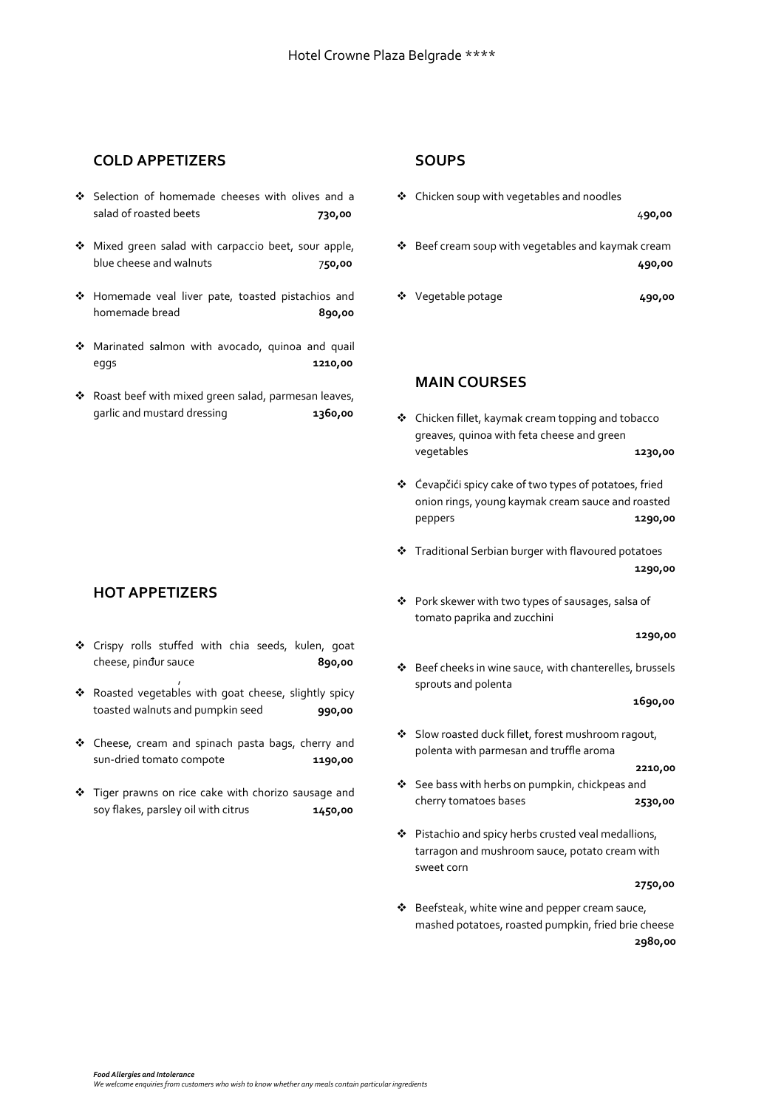## **COLD APPETIZERS**

- ❖ Selection of homemade cheeses with olives and a salad of roasted beets **730,00**
- ❖ Mixed green salad with carpaccio beet, sour apple, blue cheese and walnuts 7**50,00**
- ❖ Homemade veal liver pate, toasted pistachios and homemade bread<br> **890,00**
- ❖ Marinated salmon with avocado, quinoa and quail eggs **1210,00**
- ❖ Roast beef with mixed green salad, parmesan leaves, garlic and mustard dressing **1360,00**

### **HOT APPETIZERS**

- ❖ Crispy rolls stuffed with chia seeds, kulen, goat cheese, pinđur sauce **890,00**
- ❖ Roasted vegetables with goat cheese, slightly spicy toasted walnuts and pumpkin seed **990,00**

,

- ❖ Cheese, cream and spinach pasta bags, cherry and sun-dried tomato compote **1190,00**
- ❖ Tiger prawns on rice cake with chorizo sausage and soy flakes, parsley oil with citrus **1450,00**

#### **SOUPS**

- ❖ Chicken soup with vegetables and noodles 4**90,00** ❖ Beef cream soup with vegetables and kaymak cream **490,00**
- ❖ Vegetable potage **490,00**

### **MAIN COURSES**

- ❖ Chicken fillet, kaymak cream topping and tobacco greaves, quinoa with feta cheese and green vegetables **1230,00**
- ❖ Ćevapčići spicy cake of two types of potatoes, fried onion rings, young kaymak cream sauce and roasted peppers **1290,00**
- ❖ Traditional Serbian burger with flavoured potatoes **1290,00**
- ❖ Pork skewer with two types of sausages, salsa of tomato paprika and zucchini

 **1290,00**

❖ Beef cheeks in wine sauce, with chanterelles, brussels sprouts and polenta

 **1690,00**

❖ Slow roasted duck fillet, forest mushroom ragout, polenta with parmesan and truffle aroma

 **2210,00**

- ❖ See bass with herbs on pumpkin, chickpeas and cherry tomatoes bases **2530,00**
- ❖ Pistachio and spicy herbs crusted veal medallions, tarragon and mushroom sauce, potato cream with sweet corn

**2750,00**

❖ Beefsteak, white wine and pepper cream sauce, mashed potatoes, roasted pumpkin, fried brie cheese **2980,00**